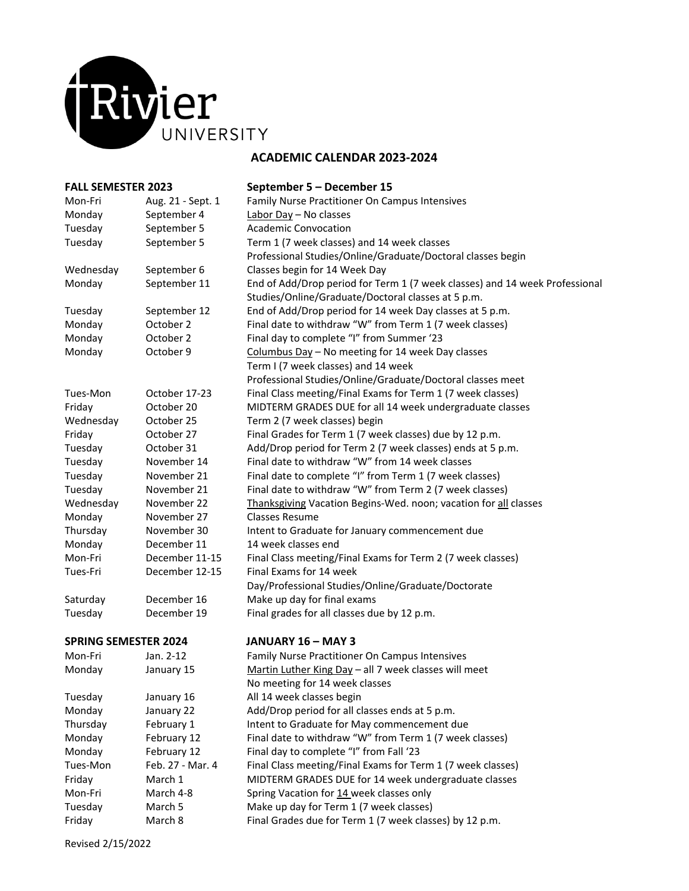

| <b>FALL SEMESTER 2023</b>   |                   | September 5 - December 15                                                   |
|-----------------------------|-------------------|-----------------------------------------------------------------------------|
| Mon-Fri                     | Aug. 21 - Sept. 1 | Family Nurse Practitioner On Campus Intensives                              |
| Monday                      | September 4       | Labor Day - No classes                                                      |
| Tuesday                     | September 5       | <b>Academic Convocation</b>                                                 |
| Tuesday                     | September 5       | Term 1 (7 week classes) and 14 week classes                                 |
|                             |                   | Professional Studies/Online/Graduate/Doctoral classes begin                 |
| Wednesday                   | September 6       | Classes begin for 14 Week Day                                               |
| Monday                      | September 11      | End of Add/Drop period for Term 1 (7 week classes) and 14 week Professional |
|                             |                   | Studies/Online/Graduate/Doctoral classes at 5 p.m.                          |
| Tuesday                     | September 12      | End of Add/Drop period for 14 week Day classes at 5 p.m.                    |
| Monday                      | October 2         | Final date to withdraw "W" from Term 1 (7 week classes)                     |
| Monday                      | October 2         | Final day to complete "I" from Summer '23                                   |
| Monday                      | October 9         | Columbus Day - No meeting for 14 week Day classes                           |
|                             |                   | Term I (7 week classes) and 14 week                                         |
|                             |                   | Professional Studies/Online/Graduate/Doctoral classes meet                  |
| Tues-Mon                    | October 17-23     | Final Class meeting/Final Exams for Term 1 (7 week classes)                 |
| Friday                      | October 20        | MIDTERM GRADES DUE for all 14 week undergraduate classes                    |
| Wednesday                   | October 25        | Term 2 (7 week classes) begin                                               |
| Friday                      | October 27        | Final Grades for Term 1 (7 week classes) due by 12 p.m.                     |
| Tuesday                     | October 31        | Add/Drop period for Term 2 (7 week classes) ends at 5 p.m.                  |
| Tuesday                     | November 14       | Final date to withdraw "W" from 14 week classes                             |
| Tuesday                     | November 21       | Final date to complete "I" from Term 1 (7 week classes)                     |
| Tuesday                     | November 21       | Final date to withdraw "W" from Term 2 (7 week classes)                     |
| Wednesday                   | November 22       | Thanksgiving Vacation Begins-Wed. noon; vacation for all classes            |
| Monday                      | November 27       | <b>Classes Resume</b>                                                       |
| Thursday                    | November 30       | Intent to Graduate for January commencement due                             |
| Monday                      | December 11       | 14 week classes end                                                         |
| Mon-Fri                     | December 11-15    | Final Class meeting/Final Exams for Term 2 (7 week classes)                 |
| Tues-Fri                    | December 12-15    | Final Exams for 14 week                                                     |
|                             |                   | Day/Professional Studies/Online/Graduate/Doctorate                          |
| Saturday                    | December 16       | Make up day for final exams                                                 |
| Tuesday                     | December 19       | Final grades for all classes due by 12 p.m.                                 |
| <b>SPRING SEMESTER 2024</b> |                   | JANUARY 16 - MAY 3                                                          |
| Mon-Fri                     | Jan. 2-12         | Family Nurse Practitioner On Campus Intensives                              |
| Monday                      | January 15        | Martin Luther King Day - all 7 week classes will meet                       |
|                             |                   | No meeting for 14 week classes                                              |
| Tuesday                     | January 16        | All 14 week classes begin                                                   |
| Monday                      | January 22        | Add/Drop period for all classes ends at 5 p.m.                              |
| Thursday                    | February 1        | Intent to Graduate for May commencement due                                 |
| Monday                      | February 12       | Final date to withdraw "W" from Term 1 (7 week classes)                     |
| Monday                      | February 12       | Final day to complete "I" from Fall '23                                     |
| Tues-Mon                    | Feb. 27 - Mar. 4  | Final Class meeting/Final Exams for Term 1 (7 week classes)                 |
| Friday                      | March 1           | MIDTERM GRADES DUE for 14 week undergraduate classes                        |
| Mon-Fri                     | March 4-8         | Spring Vacation for 14 week classes only                                    |
| Tuesday                     | March 5           | Make up day for Term 1 (7 week classes)                                     |
| Friday                      | March 8           | Final Grades due for Term 1 (7 week classes) by 12 p.m.                     |

Revised 2/15/2022